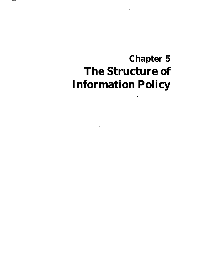# **Chapter 5 The Structure of Information Policy**

.

——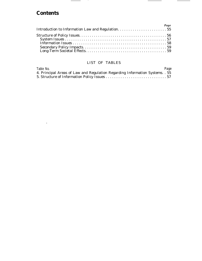# **Contents**

 $\frac{1}{\sqrt{2}}$  . The  $\frac{1}{2}$ 

| Page |  |
|------|--|
|      |  |

 $\frac{1}{2} \left( \frac{1}{2} \right) \left( \frac{1}{2} \right) \left( \frac{1}{2} \right) \left( \frac{1}{2} \right) \left( \frac{1}{2} \right) \left( \frac{1}{2} \right) \left( \frac{1}{2} \right) \left( \frac{1}{2} \right) \left( \frac{1}{2} \right) \left( \frac{1}{2} \right) \left( \frac{1}{2} \right) \left( \frac{1}{2} \right) \left( \frac{1}{2} \right) \left( \frac{1}{2} \right) \left( \frac{1}{2} \right) \left( \frac{1}{2} \right) \left( \frac$ 

 $\sim$  .  $\sim$  .  $\sim$  .  $\sim$  .  $\sim$ 

#### LIST OF TABLES

| Table No.                                                                    | Page |
|------------------------------------------------------------------------------|------|
| 4. Principal Areas of Law and Regulation Regarding Information Systems. . 55 |      |
|                                                                              |      |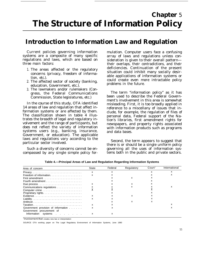# **Chapter** 5 **The Structure of Information Policy**

# **Introduction to Information Law and Regulation**

Current policies governing information systems are a composite of many specific regulations and laws, which are based on three main factors:

- 1. The areas affected or the regulatory concerns (privacy, freedom of information, etc.).
- 2. The affected sector of society (banking, education, Government, etc.).
- 3. The lawmakers and/or rulemakers (Congress, the Federal Communications Commission, State legislatures, etc.)

In the course of this study, OTA identified 14 areas of law and regulation that affect information systems or are affected by them. The classification shown in table 4 illustrates the breadth of legal and regulatory involvement and the range of participants, but does not reflect the variety of information systems users (e.g., banking, insurance, Government, or education). The applicable laws and regulations vary according to the particular sector involved.

Such a diversity of concerns cannot be encompassed by any single simple policy for-

mulation. Computer users face a confusing array of laws and regulations unless consideration is given to their overall pattern their overlaps, their contradictions, and their deficiencies. Continuation of the present situation could inhibit many socially desirable applications of information systems or could create even more intractable policy problems in the future.

The term "information policy" as it has been used to describe the Federal Government's involvement in this area is somewhat misleading. First, it is too broadly applied in reference to a miscellany of issues that include, for example, the regulation of files of personal data, Federal support of the Nation's libraries, first amendment rights for newspapers, and property rights associated with information products such as programs and data bases.

Second, the term appears to suggest that there is or should be a single uniform policy governing all the uses of information systems both in the public and private sectors.

| Area of concern                                                  | State | Federal | Regulatory | Court <sup>®</sup> | International |
|------------------------------------------------------------------|-------|---------|------------|--------------------|---------------|
|                                                                  |       |         |            |                    |               |
|                                                                  |       |         |            |                    |               |
|                                                                  |       |         |            |                    |               |
|                                                                  |       |         |            |                    |               |
|                                                                  |       |         |            |                    |               |
| Communications regulations                                       |       |         |            |                    |               |
|                                                                  |       |         |            |                    |               |
|                                                                  |       |         |            |                    |               |
|                                                                  |       |         | x          |                    |               |
|                                                                  |       |         |            |                    |               |
|                                                                  |       |         |            |                    |               |
|                                                                  |       |         |            |                    |               |
| Government provision of information<br>Government procurement of |       |         |            |                    |               |
| Information systems                                              |       |         |            |                    |               |

**Table 4.—Principal Areas of Law and Regulation Regarding Information Systems**

*a Involvement that* creates new law or interpretation

SOURCE OTA working paper on The Legal Regulatory Environment of Information Systems, June 1980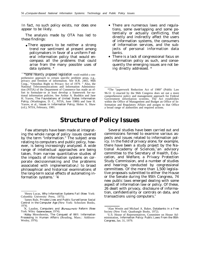In fact, no such policy exists, nor does one appear to be likely.

The analysis made by OTA has led to these findings:

• There appears to be neither a strong trend nor sentiment at present among policymakers in favor of a uniform Federal information policy that would encompass all the problems that could arise from the many possible uses of data systems. \*

- There are numerous laws and regulations, some overlapping and some potentially or actually conflicting, that directly and indirectly affect the users of information systems, the consumers of information services, and the subjects of personal information data banks.
- There is a lack of congressional focus on information policy as such, and consequently the emerging issues are not being directly addressed. \*

# **Structure of Policy Issues**

Few attempts have been made at integrating the whole range of policy issues covered by the term "information." The subject area relating to computers and public policy, however, is being increasingly analyzed. A wide range of intellectual approaches are being taken, from narrow quantitative studies of the impacts of information systems on corporate decisionmaking and the problems associated with implementation,l to broad philosophical and historical examinations of the long-term social effects of automating information systems.' <sup>3</sup>4

Several studies have been carried out and commissions formed to examine various aspects and issues related to information policy. In the field of privacy alone, for example, there have been a study project by the National Academy of Sciences, an advisory committee to the Secretary of Health, Education, and Welfare, a Privacy Protection Study Commission, and a number of studies and hearings conducted by congressional committees. Of the more than 1,500 legislative proposals submitted to either the House or the Senate during the 95th Congress, 74 new public laws emerged dealing with some aspect of information law or policy. Of these, 26 dealt with privacy, disclosure of information, confidentiality or controls on data, and transactions using computers.<sup>6</sup>

<sup>\*</sup>some recently proposed legislation would establish a comprehensive approach to certain specific problem areas, e.g. privacy and freedom of information. See H.R. 2465, 96th Cong., "Omnibus Right to Privacy Act of 1979. " Also, the National Telecommunications and Information Administration (NTIA) of the Department of Commerce has made an effort to formulate–or at least develop a framework for–national information policies. See Arthur A. Bushkin and Jane H. Yurow, *The Foundations of United States Information Policy,* (Washington, D. C., NTIA, June 1980) and Jane H. Yurow, et al., *Issues in Information Policy,* Helen A. Shaw (cd.), NTIA, February, 1981.

<sup>\*</sup>The "paperwork Reduction Act of 1980" (Public Law 96-51 1) enacted by the 96th Congress does set out a more comprehensive policy and management approach for Federal Government information systems. The Act establishes within the Office of Management and Budget an Office of Information and Regulatory Affairs and assigns to that Office a broad range of authorities and required actions.

<sup>&#</sup>x27;Henry Lucas, *Why Information Systems Fail (New* York: Columbia University Press, 1975).

<sup>&#</sup>x27;James Rule, *Private Lives and Public Surveillance: Social Control in the Computer Age* (New York: Schocken Books, 1974).

<sup>&</sup>lt;sup>3</sup>K. Laudon, *Computers and Bureaucratic Reform (New* York: Wiley -Interscience, 1974).

<sup>4</sup>Abby Mowshowitz, *The Conquest of Will: Information Processing in Human Affairs* (Reading, Mass.: Addison-Wesley, 1976).

<sup>&#</sup>x27;Alan Westin and Michael A. Baker, *Databanks in a Free* Society (New York: Quadrangle Books, 1972).

<sup>&#</sup>x27;U.S. House of Representatives, Committee on House Administration, *Information Policy: Public Laws From the 95th Congress,* Jan. 31, 1979.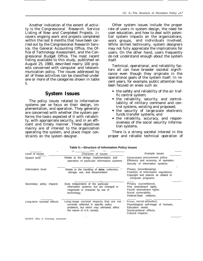Another indication of the extent of activity is the *Congressional Research Service Listing of New and Completed Projects.* It covers ongoing work and projects completed within the last 6 months that have been carried out by the Congressional Research Service, the General Accounting Office, the Office of Technology Assessment, and the Congressional Budget Office. The most recent listing available to this study, published on August 25, 1980, described nearly 100 projects concerned with computer and telecommunication policy. The issues addressed by all of these activities can be classified under one or more of the categories shown in table 5.

#### **System Issues**

The policy issues related to information systems per se focus on their design, implementation, and operation. They generally are concerned with whether the system performs the tasks expected of it with reliability, with appropriate security, and in an efficient and timely manner. These objectives mainly are of interest to the organization operating the system, and place major constraints on the system designer.

Other system issues include the proper role of users in system design, the need for user education, and how to deal with potential system impacts on the organizations, work groups, and individuals involved. While skilled technically, system designers may not fully appreciate the implications for users. On the other hand, users frequently do not understand enough about the system itself.

Technical, operational, and reliability factors all can have broader societal significance even though they originate in the operational goals of the system itself. In recent years, for example, public attention has been focused on areas such as:

- the safety and reliability of the air traffic control system;
- the reliability, security, and controllability of military command and control systems, existing and proposed;
- the security of large-scale electronic funds transfer systems; and
- the reliability, accuracy, and responsiveness of the social security information systems.

There is a strong societal interest in the proper and reliable technical operation of

| Level of issues            | Character of issues                                                                                                                                            | Example issues                                                                                                                          |  |  |
|----------------------------|----------------------------------------------------------------------------------------------------------------------------------------------------------------|-----------------------------------------------------------------------------------------------------------------------------------------|--|--|
| System level               | Relate to the design, implementation, and<br>operation of particular information systems                                                                       | Government procurement policy.<br>Efficiency and economy of operation.<br>Security of information systems.                              |  |  |
| Information level          | Relate to the handling of <b>data:</b> collection,<br>storage, use, and dissemination                                                                          | 'Privacy (recordkeeping).<br>Freedom of Information regulations.<br>Copyright and patents as related to<br>computer programs.           |  |  |
| Secondary policy impacts   | Exist Independent of the particular<br>information systems, but are changed in<br>magnitude or character by use of<br>technology.                              | Privacy (surveillance).<br>First amendment rights.<br>Fourth amendment rights.<br>Social vulnerability.<br>Federal-State relations.     |  |  |
| Long-term societal effects | Long-range societal impacts that are not<br>currently reflected in specific policy<br>problems, but which may ultimately affect<br>the nature of U.S. society. | Privacy social attitudes).<br>Psychological self-image of humans.<br>Education needs.<br>Social-political effects.<br>Cultural Impacts. |  |  |

**Table 5.—Structure of Information Policy Issues**

SOURCE: Office of Technology Assessment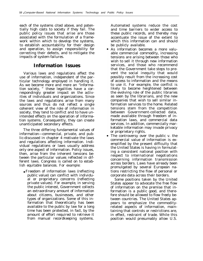each of the systems cited above, and potentially high costs to society if they fail. The public policy issues that arise are those associated with the formulation of a framework within which to develop the systems, to establish accountability for their design and operation, to assign responsibility for correcting their defects, and to mitigate the impacts of system failures.

#### **Information Issues**

Various laws and regulations affect the use of information, independent of the particular technology employed in handling it. As we become more and more an "information society, " these legalities have a correspondingly greater impact on the activities of individuals and organizations. Since the laws and regulations arise from many sources and thus do not reflect a single coherent view of the role of information in society, they tend to conflict and to have unintended effects on the operation of information systems. Consequently, they can create unanticipated secondary effects.

The three differing fundamental values of information—commercial, private, and public-discussed in chapter 4 motivate the laws and regulations affecting information. Individual regulations or laws usually address only one aspect of information. Policy issues, then, arise from the inherent tensions between the particular values reflected in different laws. Congress is called on to establish equitable balances. For example:

• Freedom of information laws (reflecting public value) can conflict with individual or proprietary concerns (reflecting private values). For example, in serving the public interest, Government collects an extraordinary amount of information about citizens, businesses, and other types of organizations. Some of this information that theoretically has been available to the public by law for a long time has been protected, in fact, by the amount of effort required to retrieve it from manual recordkeeping systems.

Automated systems reduce the cost and time barriers to wider access to these public records, and thereby may accentuate the issue of the extent to which this information can and should be publicly available.

- As information becomes a more valuable commercial commodity, increasing tensions are arising between those who wish to sell it through new information services, and those who recommend that the Government take steps to prevent the social inequity that would possibly result from the increasing cost of access to information and the means to use it. For example, the conflict is likely to become heightened between the evolving role of the public libraries as seen by the librarians, and the new companies that wish to sell similar information services to the home. Related tensions stem from the competition between Government-collected data, made available through freedom of information laws, and commercial data services. In addition, commercially marketable information may invade privacy or proprietary rights.
- The controversy over the public v. the commercial value of information is exemplified by the present difficulty that the United States is having in formulating a consistent national position with respect to international negotiations concerning information transmission across borders. Laws have already been promulgated by several European nations restricting the flow of personal or corporate data across their borders.

Some positions taken by the United States appear to advocate the free flow of information on the premise that information is a public good, and therefore should be allowed to flow freely between countries. The United States appears to emphasize the commodityrelated aspects of information, maintaining that controls or restrictions are, in effect, restraint of trade. While this position would presumably allow U.S.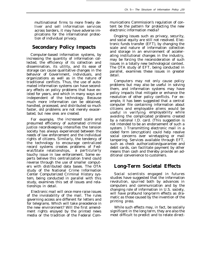multinational firms to more freely deliver and sell information services across borders, it may have adverse implications for the international protection of individual privacy.

### **Secondary Policy Impacts**

Computer-based information systems, by increasing the quantity of information collected, the efficiency of its collection and dissemination, its utility, and its ease of storage can cause qualitative changes in the behavior of Government, individuals, and organizations as well as in the nature of traditional conflicts. Thus, the use of automated information systems can have secondary effects on policy problems that have existed for years, and which in many ways are independent of the technology. Because much more information can be obtained, handled, processed, and distributed so much faster, old problems are not merely exacerbated, but new ones are created.

For example, the increased scale and presumed efficiency of automated criminal justice recordkeeping intensifies the tension society has always experienced between the needs of law enforcement and the individual rights of citizens. Similarly, the tendency of the technology to encourage centralized record systems creates problems of Federal/State relationships, a particularly touchy issue in law enforcement. Some experts believe this centralization trend could reverse through the use of smaller computers with distributed data bases. The OTA study of the National Crime Information Center Computerized Criminal History system, being conducted in parallel with this study, examines this set of issues and relationships in detail.

Electronic mail will once more raise issues of the inviolability of the mail. The rules governing access are different for letters and for telegrams. Which will take precedence in the new environment? Will the first amendment rights enjoyed by the printed news media or the tradition of the Federal Communications Commission's regulation of content be the pattern for protecting the new electronic information media?

Ongoing issues such as privacy, security, and social equity are still not resolved. Electronic funds transfer (EFT), by changing the scale and nature of information collection and storage in an environment of accelerating institutional changes in the industry, may be forcing the reconsideration of such issues in a totally new technological context. The OTA study of EFT, being conducted in parallel, examines these issues in greater detail.

Computers may not only cause policy problems but may also be useful in solving them, and information systems may have policy impacts that mitigate or enhance the resolution of other policy conflicts. For example, it has been suggested that a central computer file containing information about citizens and employable aliens would be useful in verifying employability while avoiding the complicated problems created by a national I.D. card. (This suggestion is not intended to be an endorsement of such a system. ) Transmitting electronic mail in a coded form (encryption) could help resolve social concerns over wiretapping or mail tampering. Services available through EFT, such as check authorization/guarantee and debit cards, can facilitate payment by other means than cash and thereby provide an additional convenience to customers.

## **Long-Term Societal Effects**

Social scientists engaged in futures studies have suggested that the information revolution, spurred both by advances in computers and communication and by the changing role of information in U.S. society, will have profound long-term effects as dramatic as those caused by the invention of the printing press.

While such effects may, in fact, be socially significant in the long term, they are also the most difficult to predict and to relate direct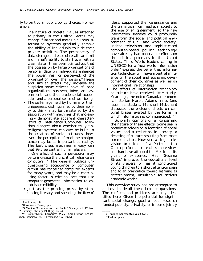ly to particular public policy choices. For example:

- . The nature of societal values attached to privacy in the United States may change if larger and more ubiquitous information systems gradually remove the ability of individuals to hide their private activities. The permanency of data storage and ease of recall can limit a criminal's ability to start over with a clean slate. It has been pointed out that the possession by large organizations of personal data on individuals enhances the power, real or perceived, of the organization over the person.<sup>78</sup>These and similar effects may increase the suspicion some citizens have of large organizations –business, labor, or Government—and thus erode social cooperation and a personal sense of well-being.
- The self-image held by humans of their uniqueness, distinguished by their ability to think, may be threatened by the association with machines that increasingly demonstrate apparent characteristics of intelligence.<sup>9</sup> Computer scientists disagree about whether truly "intelligent" systems can ever be built. In the creation of social attitudes, however, the perception of machine omnipotence may be as important as reality. The best chess machines already can beat 99.5 percent of human players.

One effect of such a perception may be to increase the uncritical reliance on computers. <sup>10</sup> The general public's unquestioning acceptance of computer output has concerned computer experts for many years, and may be a contributing factor in criminal acts that use computer-generated information to establish credibility.

● Just as the printing press, by stimulating literacy and speeding the flow of ideas, supported the Renaissance and the transition from medieval society to the age of enlightenment, so the new information systems could profoundly transform the social and political environment of U.S. and world society. Indeed television and sophisticated computer-based polling technology have already had observable effects on the political processes in the United States. Third World leaders calling in UNESCO for a "new world information order" express the belief that information technology will have a central influence on the social and economic development of their countries as well as on international relationships.

● The effects of information technology on culture have received little stud-y. Years ago, the noted Canadian economic historian Harold Adams Innes (and later his student, Marshall McLuhan) discussed the profound effects on cultural biases exerted by the forms in which information is communicated.  $1112$ 

Scholarly opinions differ concerning the nature of these effects. Some see in broadcast television a lowering of social values and a reduction in literacy, a debasing of culture resulting from mass communication. However, a single television broadcast of a Metropolitan Opera performance reaches more viewers than have attended the Met in all its years of existence. Has "Sesame Street" improved the educational level of its viewers, or has it conditioned young children to a short attention span and to an orientation toward learning as entertainment, unsuitable for serious academic work?

This overview study has not attempted to address in detail these broader questions. The conflicts and problems are only identified here. Given the potential for significant social change, good or bad, research funded publicly, privately, or in some jointly

<sup>7</sup> Laudon, op. cit.

<sup>8</sup>Westin and Baker, op. cit.

<sup>&#</sup>x27;S. Turkle, "Computer as Rorschach, " Society, vol. 17, No. 2, January/February 1980, pp. 15-24.

<sup>&#</sup>x27;OJ. Weizenbaum, *Computer Power and Human Reason* (San Francisco: W. H. Freeman& Co., 1976).

<sup>———-&</sup>lt;br><sup>1</sup>House of Representatives, op. cit.

<sup>1&#</sup>x27;Turkle, op. cit.